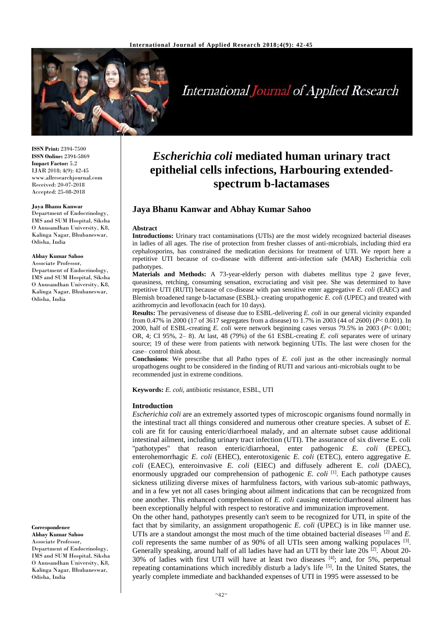

International Journal of Applied Research

**ISSN Print:** 2394-7500 **ISSN Online:** 2394-5869 **Impact Factor:** 5.2 IJAR 2018; 4(9): 42-45 www.allresearchjournal.com Received: 20-07-2018 Accepted: 25-08-2018

#### **Jaya Bhanu Kanwar**

Department of Endocrinology, IMS and SUM Hospital, Siksha O Anusandhan University, K8, Kalinga Nagar, Bhubaneswar, Odisha, India

#### **Abhay Kumar Sahoo**

Associate Professor, Department of Endocrinology, IMS and SUM Hospital, Siksha O Anusandhan University, K8, Kalinga Nagar, Bhubaneswar, Odisha, India

**Correspondence**

**Abhay Kumar Sahoo** Associate Professor, Department of Endocrinology, IMS and SUM Hospital, Siksha O Anusandhan University, K8, Kalinga Nagar, Bhubaneswar, Odisha, India

# *Escherichia coli* **mediated human urinary tract epithelial cells infections, Harbouring extendedspectrum b-lactamases**

# **Jaya Bhanu Kanwar and Abhay Kumar Sahoo**

#### **Abstract**

**Introductions:** Urinary tract contaminations (UTIs) are the most widely recognized bacterial diseases in ladies of all ages. The rise of protection from fresher classes of anti-microbials, including third era cephalosporins, has constrained the medication decisions for treatment of UTI. We report here a repetitive UTI because of co-disease with different anti-infection safe (MAR) Escherichia coli pathotypes.

**Materials and Methods:** A 73-year-elderly person with diabetes mellitus type 2 gave fever, queasiness, retching, consuming sensation, excruciating and visit pee. She was determined to have repetitive UTI (RUTI) because of co-disease with pan sensitive enter aggregative *E. coli* (EAEC) and Blemish broadened range b-lactamase (ESBL)- creating uropathogenic *E. coli* (UPEC) and treated with azithromycin and levofloxacin (each for 10 days).

**Results:** The pervasiveness of disease due to ESBL-delivering *E. coli* in our general vicinity expanded from 0.47% in 2000 (17 of 3617 segregates from a disease) to 1.7% in 2003 (44 of 2600) (*P*< 0.001). In 2000, half of ESBL-creating *E. coli* were network beginning cases versus 79.5% in 2003 (*P*< 0.001; OR, 4; CI 95%, 2– 8). At last, 48 (79%) of the 61 ESBL-creating *E. coli* separates were of urinary source; 19 of these were from patients with network beginning UTIs. The last were chosen for the case– control think about.

**Conclusions**: We prescribe that all Patho types of *E. coli* just as the other increasingly normal uropathogens ought to be considered in the finding of RUTI and various anti-microbials ought to be recommended just in extreme conditions.

**Keywords:** *E. coli*, antibiotic resistance, ESBL, UTI

#### **Introduction**

*Escherichia coli* are an extremely assorted types of microscopic organisms found normally in the intestinal tract all things considered and numerous other creature species. A subset of *E.* coli are fit for causing enteric/diarrhoeal malady, and an alternate subset cause additional intestinal ailment, including urinary tract infection (UTI). The assurance of six diverse E. coli ''pathotypes'' that reason enteric/diarrhoeal, enter pathogenic *E. coli* (EPEC), enterohemorrhagic *E. coli* (EHEC), enterotoxigenic *E. coli* (ETEC), entero aggregative *E. coli* (EAEC), enteroinvasive *E. coli* (EIEC) and diffusely adherent E. *coli* (DAEC), enormously upgraded our comprehension of pathogenic *E. coli* <sup>[1]</sup>. Each pathotype causes sickness utilizing diverse mixes of harmfulness factors, with various sub-atomic pathways, and in a few yet not all cases bringing about ailment indications that can be recognized from one another. This enhanced comprehension of *E. coli* causing enteric/diarrhoeal ailment has been exceptionally helpful with respect to restorative and immunization improvement.

On the other hand, pathotypes presently can't seem to be recognized for UTI, in spite of the fact that by similarity, an assignment uropathogenic *E. coli* (UPEC) is in like manner use. UTIs are a standout amongst the most much of the time obtained bacterial diseases [2] and *E.*  coli represents the same number of as 90% of all UTIs seen among walking populaces <sup>[3]</sup>. Generally speaking, around half of all ladies have had an UTI by their late 20s <sup>[2]</sup>. About 20-30% of ladies with first UTI will have at least two diseases [4]; and, for 5%, perpetual repeating contaminations which incredibly disturb a lady's life [5]. In the United States, the yearly complete immediate and backhanded expenses of UTI in 1995 were assessed to be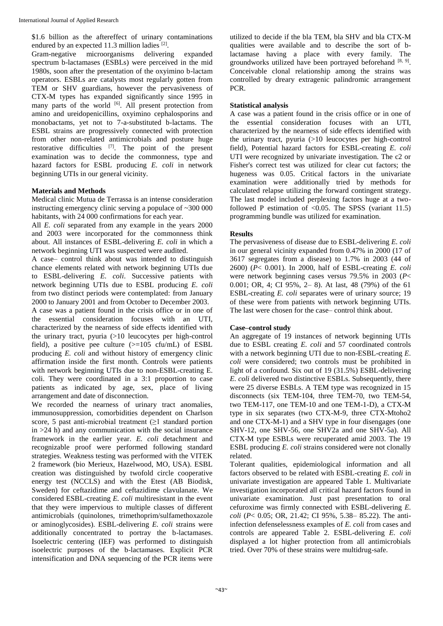\$1.6 billion as the aftereffect of urinary contaminations endured by an expected 11.3 million ladies  $[2]$ .

Gram-negative microorganisms delivering expanded spectrum b-lactamases (ESBLs) were perceived in the mid 1980s, soon after the presentation of the oxyimino b-lactam operators. ESBLs are catalysts most regularly gotten from TEM or SHV guardians, however the pervasiveness of CTX-M types has expanded significantly since 1995 in many parts of the world [6]. All present protection from amino and ureidopenicillins, oxyimino cephalosporins and monobactams, yet not to 7-a-substituted b-lactams. The ESBL strains are progressively connected with protection from other non-related antimicrobials and posture huge restorative difficulties  $^{[7]}$ . The point of the present examination was to decide the commonness, type and hazard factors for ESBL producing *E. coli* in network beginning UTIs in our general vicinity.

# **Materials and Methods**

Medical clinic Mutua de Terrassa is an intense consideration instructing emergency clinic serving a populace of ~300 000 habitants, with 24 000 confirmations for each year.

All *E. coli* separated from any example in the years 2000 and 2003 were incorporated for the commonness think about. All instances of ESBL-delivering *E. coli* in which a network beginning UTI was suspected were audited.

A case– control think about was intended to distinguish chance elements related with network beginning UTIs due to ESBL-delivering *E. coli*. Successive patients with network beginning UTIs due to ESBL producing *E. coli* from two distinct periods were contemplated: from January 2000 to January 2001 and from October to December 2003.

A case was a patient found in the crisis office or in one of the essential consideration focuses with an UTI, characterized by the nearness of side effects identified with the urinary tract, pyuria (>10 leucocytes per high-control field), a positive pee culture  $(>=105 \text{ cfu/mL})$  of ESBL producing *E. coli* and without history of emergency clinic affirmation inside the first month. Controls were patients with network beginning UTIs due to non-ESBL-creating E. coli. They were coordinated in a 3:1 proportion to case patients as indicated by age, sex, place of living arrangement and date of disconnection.

We recorded the nearness of urinary tract anomalies, immunosuppression, comorbidities dependent on Charlson score, 5 past anti-microbial treatment (≥1 standard portion in  $>24$  h) and any communication with the social insurance framework in the earlier year. *E. coli* detachment and recognizable proof were performed following standard strategies. Weakness testing was performed with the VITEK 2 framework (bio Merieux, Hazelwood, MO, USA). ESBL creation was distinguished by twofold circle cooperative energy test (NCCLS) and with the Etest (AB Biodisk, Sweden) for ceftazidime and ceftazidime clavulanate. We considered ESBL-creating *E. coli* multiresistant in the event that they were impervious to multiple classes of different antimicrobials (quinolones, trimethoprim/sulfamethoxazole or aminoglycosides). ESBL-delivering *E. coli* strains were additionally concentrated to portray the b-lactamases. Isoelectric centering (IEF) was performed to distinguish isoelectric purposes of the b-lactamases. Explicit PCR intensification and DNA sequencing of the PCR items were

utilized to decide if the bla TEM, bla SHV and bla CTX-M qualities were available and to describe the sort of blactamase having a place with every family. The groundworks utilized have been portrayed beforehand  $[8, 9]$ . Conceivable clonal relationship among the strains was controlled by dreary extragenic palindromic arrangement PCR.

## **Statistical analysis**

A case was a patient found in the crisis office or in one of the essential consideration focuses with an UTI, characterized by the nearness of side effects identified with the urinary tract, pyuria (>10 leucocytes per high-control field), Potential hazard factors for ESBL-creating *E. coli* UTI were recognized by univariate investigation. The c2 or Fisher's correct test was utilized for clear cut factors; the hugeness was 0.05. Critical factors in the univariate examination were additionally tried by methods for calculated relapse utilizing the forward contingent strategy. The last model included perplexing factors huge at a twofollowed P estimation of  $\langle 0.05, \text{The SPSS}$  (variant 11.5) programming bundle was utilized for examination.

## **Results**

The pervasiveness of disease due to ESBL-delivering *E. coli* in our general vicinity expanded from 0.47% in 2000 (17 of 3617 segregates from a disease) to 1.7% in 2003 (44 of 2600) (*P*< 0.001). In 2000, half of ESBL-creating *E. coli* were network beginning cases versus 79.5% in 2003 (*P*< 0.001; OR, 4; CI 95%, 2– 8). At last, 48 (79%) of the 61 ESBL-creating *E. coli* separates were of urinary source; 19 of these were from patients with network beginning UTIs. The last were chosen for the case– control think about.

## **Case–control study**

An aggregate of 19 instances of network beginning UTIs due to ESBL creating *E. coli* and 57 coordinated controls with a network beginning UTI due to non-ESBL-creating *E. coli* were considered; two controls must be prohibited in light of a confound. Six out of 19 (31.5%) ESBL-delivering *E. coli* delivered two distinctive ESBLs. Subsequently, there were 25 diverse ESBLs. A TEM type was recognized in 15 disconnects (six TEM-104, three TEM-70, two TEM-54, two TEM-117, one TEM-10 and one TEM-1-D), a CTX-M type in six separates (two CTX-M-9, three CTX-Mtoho2 and one CTX-M-1) and a SHV type in four disengages (one SHV-12, one SHV-56, one SHV2a and one SHV-5a). All CTX-M type ESBLs were recuperated amid 2003. The 19 ESBL producing *E. coli* strains considered were not clonally related.

Tolerant qualities, epidemiological information and all factors observed to be related with ESBL-creating *E. coli* in univariate investigation are appeared Table 1. Multivariate investigation incorporated all critical hazard factors found in univariate examination. Just past presentation to oral cefuroxime was firmly connected with ESBL-delivering *E. coli* (*P*< 0.05; OR, 21.42; CI 95%, 5.38– 85.22). The antiinfection defenselessness examples of *E. coli* from cases and controls are appeared Table 2. ESBL-delivering *E. coli*  displayed a lot higher protection from all antimicrobials tried. Over 70% of these strains were multidrug-safe.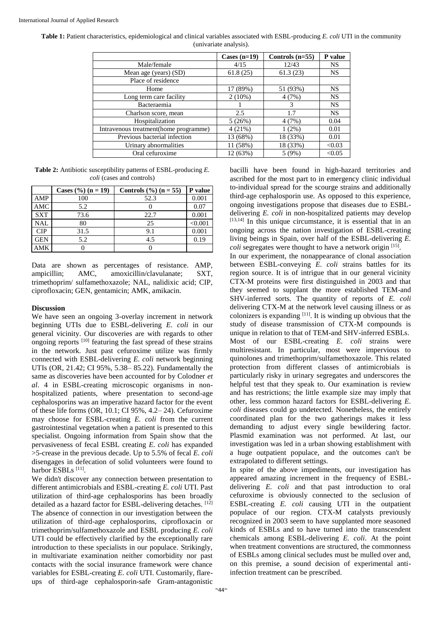|                                        | Cases $(n=19)$ | Controls $(n=55)$ | P value   |
|----------------------------------------|----------------|-------------------|-----------|
| Male/female                            | 4/15           | 12/43             | NS        |
| Mean age (years) (SD)                  | 61.8(25)       | 61.3(23)          | <b>NS</b> |
| Place of residence                     |                |                   |           |
| Home                                   | 17 (89%)       | 51 (93%)          | <b>NS</b> |
| Long term care facility                | $2(10\%)$      | 4(7%)             | <b>NS</b> |
| Bacteraemia                            |                | 3                 | <b>NS</b> |
| Charlson score, mean                   | 2.5            | 1.7               | <b>NS</b> |
| Hospitalization                        | 5(26%)         | 4(7%)             | 0.04      |
| Intravenous treatment (home programme) | 4(21%)         | $1(2\%)$          | 0.01      |
| Previous bacterial infection           | 13 (68%)       | 18 (33%)          | 0.01      |
| Urinary abnormalities                  | 11 (58%)       | 18 (33%)          | < 0.03    |
| Oral cefuroxime                        | 12 (63%)       | 5(9%)             | < 0.05    |

**Table 1:** Patient characteristics, epidemiological and clinical variables associated with ESBL-producing *E. coli* UTI in the community (univariate analysis).

**Table 2:** Antibiotic susceptibility patterns of ESBL-producing *E. coli* (cases and controls)

|            | Cases $(\frac{6}{6})$ (n = 19) | Controls $(\frac{6}{6})$ (n = 55) | P value |
|------------|--------------------------------|-----------------------------------|---------|
| AMP        | 100                            | 52.3                              | 0.001   |
| AMC        | 5.2                            |                                   | 0.07    |
| <b>SXT</b> | 73.6                           | 22.7                              | 0.001   |
| <b>NAL</b> | 80                             | 25                                | < 0.001 |
| CIP        | 31.5                           | 9.1                               | 0.001   |
| <b>GEN</b> | 5.2                            | 4.5                               | 0.19    |
| AMK        |                                |                                   |         |

Data are shown as percentages of resistance. AMP, ampicillin; AMC, amoxicillin/clavulanate; SXT, trimethoprim/ sulfamethoxazole; NAL, nalidixic acid; CIP, ciprofloxacin; GEN, gentamicin; AMK, amikacin.

### **Discussion**

We have seen an ongoing 3-overlay increment in network beginning UTIs due to ESBL-delivering *E. coli* in our general vicinity. Our discoveries are with regards to other ongoing reports [10] featuring the fast spread of these strains in the network. Just past cefuroxime utilize was firmly connected with ESBL-delivering *E. coli* network beginning UTIs (OR, 21.42; CI 95%, 5.38– 85.22). Fundamentally the same as discoveries have been accounted for by Colodner *et al*. 4 in ESBL-creating microscopic organisms in nonhospitalized patients, where presentation to second-age cephalosporins was an imperative hazard factor for the event of these life forms (OR, 10.1; CI 95%, 4.2– 24). Cefuroxime may choose for ESBL-creating *E. coli* from the current gastrointestinal vegetation when a patient is presented to this specialist. Ongoing information from Spain show that the pervasiveness of fecal ESBL creating *E. coli* has expanded >5-crease in the previous decade. Up to 5.5% of fecal *E. coli* disengages in defecation of solid volunteers were found to harbor ESBLs<sup>[11]</sup>.

We didn't discover any connection between presentation to different antimicrobials and ESBL-creating *E. coli* UTI. Past utilization of third-age cephalosporins has been broadly detailed as a hazard factor for ESBL-delivering detaches. [12] The absence of connection in our investigation between the utilization of third-age cephalosporins, ciprofloxacin or trimethoprim/sulfamethoxazole and ESBL producing *E. coli*  UTI could be effectively clarified by the exceptionally rare introduction to these specialists in our populace. Strikingly, in multivariate examination neither comorbidity nor past contacts with the social insurance framework were chance variables for ESBL-creating *E. coli* UTI. Customarily, flareups of third-age cephalosporin-safe Gram-antagonistic

bacilli have been found in high-hazard territories and ascribed for the most part to in emergency clinic individual to-individual spread for the scourge strains and additionally third-age cephalosporin use. As opposed to this experience, ongoing investigations propose that diseases due to ESBLdelivering *E. coli* in non-hospitalized patients may develop  $[13,14]$  In this unique circumstance, it is essential that in an ongoing across the nation investigation of ESBL-creating living beings in Spain, over half of the ESBL-delivering *E.*  coli segregates were thought to have a network origin [15].

In our experiment, the nonappearance of clonal association between ESBL-conveying *E. coli* strains battles for its region source. It is of intrigue that in our general vicinity CTX-M proteins were first distinguished in 2003 and that they seemed to supplant the more established TEM-and SHV-inferred sorts. The quantity of reports of *E. coli* delivering CTX-M at the network level causing illness or as colonizers is expanding [11]. It is winding up obvious that the study of disease transmission of CTX-M compounds is unique in relation to that of TEM-and SHV-inferred ESBLs. Most of our ESBL-creating *E. coli* strains were multiresistant. In particular, most were impervious to quinolones and trimethoprim/sulfamethoxazole. This related protection from different classes of antimicrobials is particularly risky in urinary segregates and underscores the helpful test that they speak to. Our examination is review and has restrictions; the little example size may imply that other, less common hazard factors for ESBL-delivering *E. coli* diseases could go undetected. Nonetheless, the entirely coordinated plan for the two gatherings makes it less demanding to adjust every single bewildering factor. Plasmid examination was not performed. At last, our investigation was led in a urban showing establishment with a huge outpatient populace, and the outcomes can't be extrapolated to different settings.

In spite of the above impediments, our investigation has appeared amazing increment in the frequency of ESBLdelivering *E. coli* and that past introduction to oral cefuroxime is obviously connected to the seclusion of ESBL-creating *E. coli* causing UTI in the outpatient populace of our region. CTX-M catalysts previously recognized in 2003 seem to have supplanted more seasoned kinds of ESBLs and to have turned into the transcendent chemicals among ESBL-delivering *E. coli*. At the point when treatment conventions are structured, the commonness of ESBLs among clinical secludes must be mulled over and, on this premise, a sound decision of experimental antiinfection treatment can be prescribed.